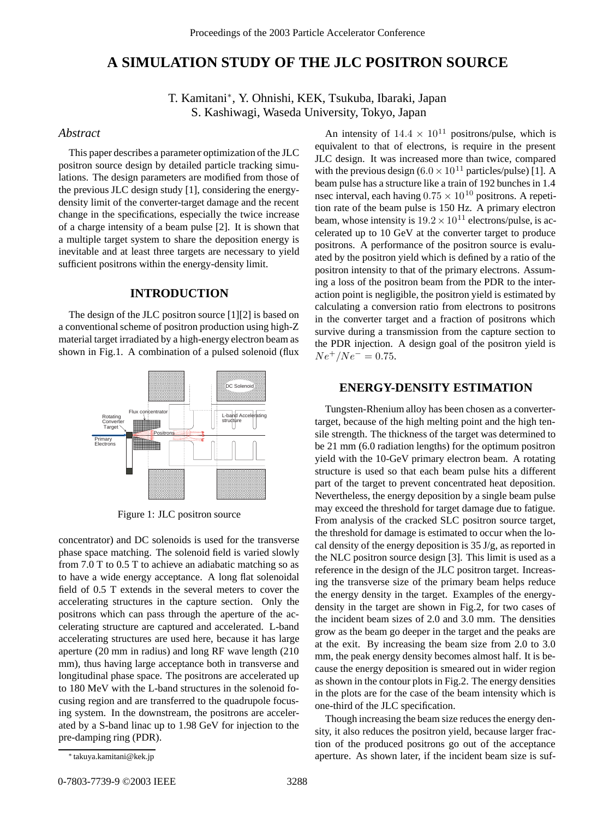# **A SIMULATION STUDY OF THE JLC POSITRON SOURCE**

T. Kamitani∗, Y. Ohnishi, KEK, Tsukuba, Ibaraki, Japan S. Kashiwagi, Waseda University, Tokyo, Japan

### *Abstract*

This paper describes a parameter optimization of the JLC positron source design by detailed particle tracking simulations. The design parameters are modified from those of the previous JLC design study [1], considering the energydensity limit of the converter-target damage and the recent change in the specifications, especially the twice increase of a charge intensity of a beam pulse [2]. It is shown that a multiple target system to share the deposition energy is inevitable and at least three targets are necessary to yield sufficient positrons within the energy-density limit.

#### **INTRODUCTION**

The design of the JLC positron source [1][2] is based on a conventional scheme of positron production using high-Z material target irradiated by a high-energy electron beam as shown in Fig.1. A combination of a pulsed solenoid (flux



Figure 1: JLC positron source

concentrator) and DC solenoids is used for the transverse phase space matching. The solenoid field is varied slowly from 7.0 T to 0.5 T to achieve an adiabatic matching so as to have a wide energy acceptance. A long flat solenoidal field of 0.5 T extends in the several meters to cover the accelerating structures in the capture section. Only the positrons which can pass through the aperture of the accelerating structure are captured and accelerated. L-band accelerating structures are used here, because it has large aperture (20 mm in radius) and long RF wave length (210 mm), thus having large acceptance both in transverse and longitudinal phase space. The positrons are accelerated up to 180 MeV with the L-band structures in the solenoid focusing region and are transferred to the quadrupole focusing system. In the downstream, the positrons are accelerated by a S-band linac up to 1.98 GeV for injection to the pre-damping ring (PDR).

An intensity of  $14.4 \times 10^{11}$  positrons/pulse, which is equivalent to that of electrons, is require in the present JLC design. It was increased more than twice, compared with the previous design  $(6.0 \times 10^{11} \text{ particles/pulse})$  [1]. A beam pulse has a structure like a train of 192 bunches in 1.4 nsec interval, each having  $0.75 \times 10^{10}$  positrons. A repetition rate of the beam pulse is 150 Hz. A primary electron beam, whose intensity is  $19.2 \times 10^{11}$  electrons/pulse, is accelerated up to 10 GeV at the converter target to produce positrons. A performance of the positron source is evaluated by the positron yield which is defined by a ratio of the positron intensity to that of the primary electrons. Assuming a loss of the positron beam from the PDR to the interaction point is negligible, the positron yield is estimated by calculating a conversion ratio from electrons to positrons in the converter target and a fraction of positrons which survive during a transmission from the capture section to the PDR injection. A design goal of the positron yield is  $Ne^{+}/Ne^{-} = 0.75$ .

## **ENERGY-DENSITY ESTIMATION**

Tungsten-Rhenium alloy has been chosen as a convertertarget, because of the high melting point and the high tensile strength. The thickness of the target was determined to be 21 mm (6.0 radiation lengths) for the optimum positron yield with the 10-GeV primary electron beam. A rotating structure is used so that each beam pulse hits a different part of the target to prevent concentrated heat deposition. Nevertheless, the energy deposition by a single beam pulse may exceed the threshold for target damage due to fatigue. From analysis of the cracked SLC positron source target, the threshold for damage is estimated to occur when the local density of the energy deposition is 35 J/g, as reported in the NLC positron source design [3]. This limit is used as a reference in the design of the JLC positron target. Increasing the transverse size of the primary beam helps reduce the energy density in the target. Examples of the energydensity in the target are shown in Fig.2, for two cases of the incident beam sizes of 2.0 and 3.0 mm. The densities grow as the beam go deeper in the target and the peaks are at the exit. By increasing the beam size from 2.0 to 3.0 mm, the peak energy density becomes almost half. It is because the energy deposition is smeared out in wider region as shown in the contour plots in Fig.2. The energy densities in the plots are for the case of the beam intensity which is one-third of the JLC specification.

Though increasing the beam size reduces the energy density, it also reduces the positron yield, because larger fraction of the produced positrons go out of the acceptance aperture. As shown later, if the incident beam size is suf-

<sup>∗</sup> takuya.kamitani@kek.jp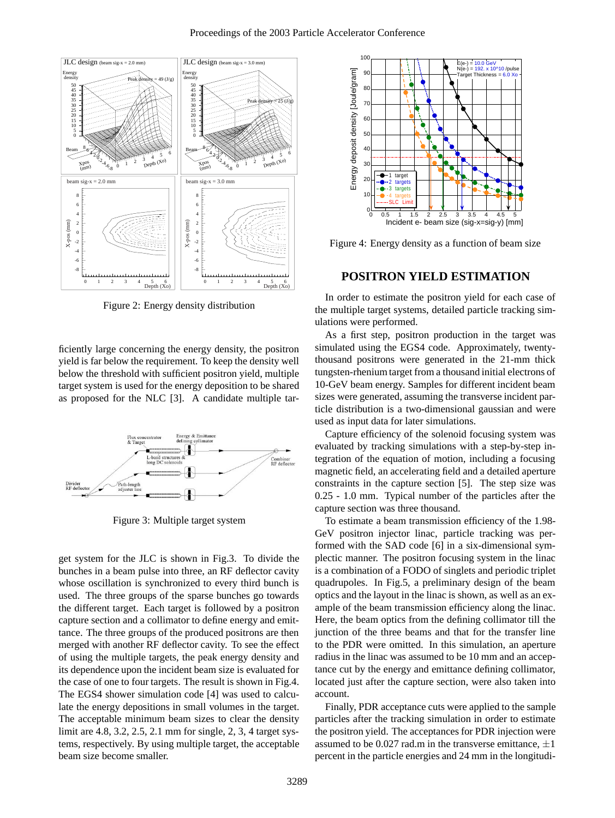

Figure 2: Energy density distribution

ficiently large concerning the energy density, the positron yield is far below the requirement. To keep the density well below the threshold with sufficient positron yield, multiple target system is used for the energy deposition to be shared as proposed for the NLC [3]. A candidate multiple tar-



Figure 3: Multiple target system

get system for the JLC is shown in Fig.3. To divide the bunches in a beam pulse into three, an RF deflector cavity whose oscillation is synchronized to every third bunch is used. The three groups of the sparse bunches go towards the different target. Each target is followed by a positron capture section and a collimator to define energy and emittance. The three groups of the produced positrons are then merged with another RF deflector cavity. To see the effect of using the multiple targets, the peak energy density and its dependence upon the incident beam size is evaluated for the case of one to four targets. The result is shown in Fig.4. The EGS4 shower simulation code [4] was used to calculate the energy depositions in small volumes in the target. The acceptable minimum beam sizes to clear the density limit are 4.8, 3.2, 2.5, 2.1 mm for single, 2, 3, 4 target systems, respectively. By using multiple target, the acceptable beam size become smaller.



Figure 4: Energy density as a function of beam size

#### **POSITRON YIELD ESTIMATION**

In order to estimate the positron yield for each case of the multiple target systems, detailed particle tracking simulations were performed.

As a first step, positron production in the target was simulated using the EGS4 code. Approximately, twentythousand positrons were generated in the 21-mm thick tungsten-rhenium target from a thousand initial electrons of 10-GeV beam energy. Samples for different incident beam sizes were generated, assuming the transverse incident particle distribution is a two-dimensional gaussian and were used as input data for later simulations.

Capture efficiency of the solenoid focusing system was evaluated by tracking simulations with a step-by-step integration of the equation of motion, including a focusing magnetic field, an accelerating field and a detailed aperture constraints in the capture section [5]. The step size was 0.25 - 1.0 mm. Typical number of the particles after the capture section was three thousand.

To estimate a beam transmission efficiency of the 1.98- GeV positron injector linac, particle tracking was performed with the SAD code [6] in a six-dimensional symplectic manner. The positron focusing system in the linac is a combination of a FODO of singlets and periodic triplet quadrupoles. In Fig.5, a preliminary design of the beam optics and the layout in the linac is shown, as well as an example of the beam transmission efficiency along the linac. Here, the beam optics from the defining collimator till the junction of the three beams and that for the transfer line to the PDR were omitted. In this simulation, an aperture radius in the linac was assumed to be 10 mm and an acceptance cut by the energy and emittance defining collimator, located just after the capture section, were also taken into account.

Finally, PDR acceptance cuts were applied to the sample particles after the tracking simulation in order to estimate the positron yield. The acceptances for PDR injection were assumed to be 0.027 rad.m in the transverse emittance, *±*1 percent in the particle energies and 24 mm in the longitudi-